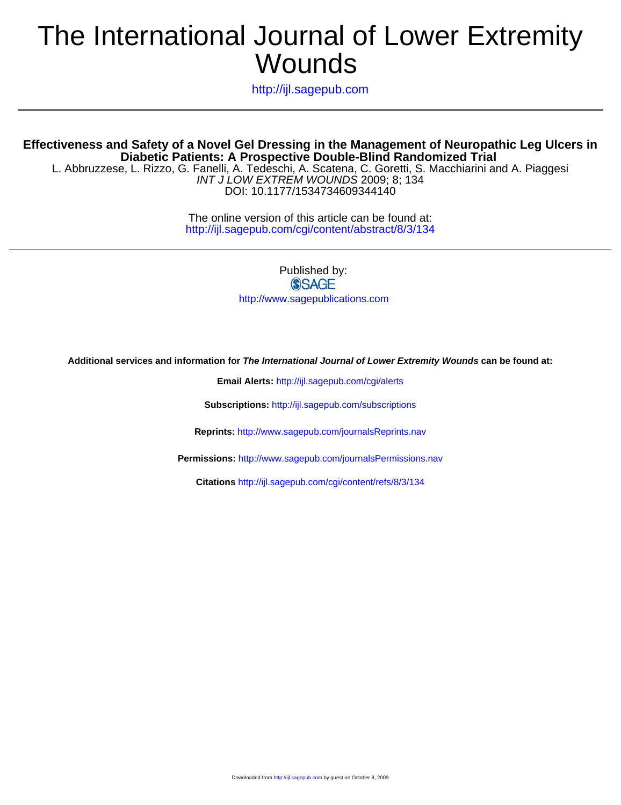# Wounds The International Journal of Lower Extremity

http://ijl.sagepub.com

L. Abbruzzese, L. Rizzo, G. Fanelli, A. Tedeschi, A. Scatena, C. Goretti, S. Macchiarini and A. Piaggesi **Diabetic Patients: A Prospective Double-Blind Randomized Trial Effectiveness and Safety of a Novel Gel Dressing in the Management of Neuropathic Leg Ulcers in**

DOI: 10.1177/1534734609344140 INT J LOW EXTREM WOUNDS 2009; 8; 134

> http://ijl.sagepub.com/cgi/content/abstract/8/3/134 The online version of this article can be found at:

> > Published by: **SSAGE** http://www.sagepublications.com

**Additional services and information for The International Journal of Lower Extremity Wounds can be found at:**

**Email Alerts:** <http://ijl.sagepub.com/cgi/alerts>

**Subscriptions:** <http://ijl.sagepub.com/subscriptions>

**Reprints:** <http://www.sagepub.com/journalsReprints.nav>

**Permissions:** <http://www.sagepub.com/journalsPermissions.nav>

**Citations** <http://ijl.sagepub.com/cgi/content/refs/8/3/134>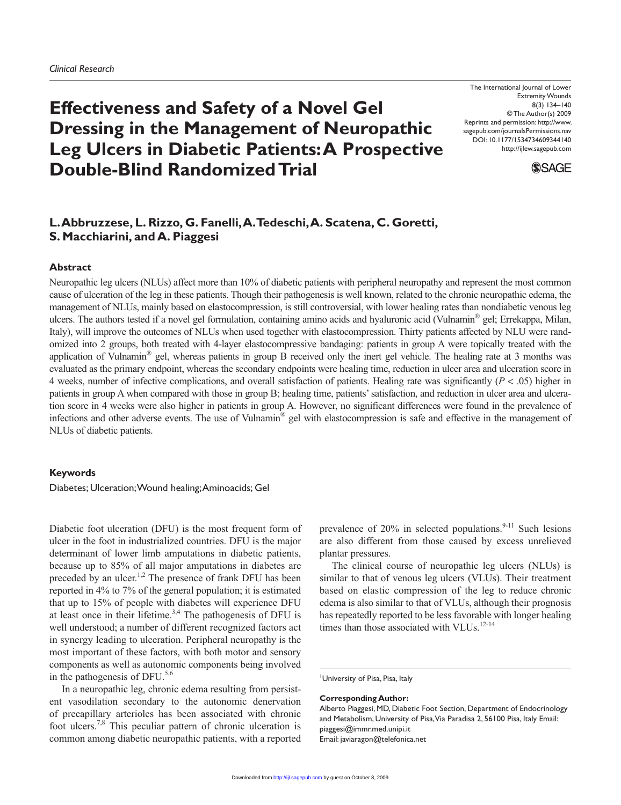# **Effectiveness and Safety of a Novel Gel Dressing in the Management of Neuropathic Leg Ulcers in Diabetic Patients: A Prospective Double-Blind Randomized Trial**

The International Journal of Lower Extremity Wounds 8(3) 134–140 © The Author(s) 2009 Reprints and permission: http://www. sagepub.com/journalsPermissions.nav DOI: 10.1177/1534734609344140 http://ijlew.sagepub.com



# **L. Abbruzzese, L. Rizzo, G. Fanelli, A. Tedeschi, A. Scatena, C. Goretti, S. Macchiarini, and A. Piaggesi**

## **Abstract**

Neuropathic leg ulcers (NLUs) affect more than 10% of diabetic patients with peripheral neuropathy and represent the most common cause of ulceration of the leg in these patients. Though their pathogenesis is well known, related to the chronic neuropathic edema, the management of NLUs, mainly based on elastocompression, is still controversial, with lower healing rates than nondiabetic venous leg ulcers. The authors tested if a novel gel formulation, containing amino acids and hyaluronic acid (Vulnamin<sup>®</sup> gel; Errekappa, Milan, Italy), will improve the outcomes of NLUs when used together with elastocompression. Thirty patients affected by NLU were randomized into 2 groups, both treated with 4-layer elastocompressive bandaging: patients in group A were topically treated with the application of Vulnamin® gel, whereas patients in group B received only the inert gel vehicle. The healing rate at 3 months was evaluated as the primary endpoint, whereas the secondary endpoints were healing time, reduction in ulcer area and ulceration score in 4 weeks, number of infective complications, and overall satisfaction of patients. Healing rate was significantly (*P* < .05) higher in patients in group A when compared with those in group B; healing time, patients' satisfaction, and reduction in ulcer area and ulceration score in 4 weeks were also higher in patients in group A. However, no significant differences were found in the prevalence of infections and other adverse events. The use of Vulnamin<sup>®</sup> gel with elastocompression is safe and effective in the management of NLUs of diabetic patients.

# **Keywords**

Diabetes; Ulceration; Wound healing; Aminoacids; Gel

Diabetic foot ulceration (DFU) is the most frequent form of ulcer in the foot in industrialized countries. DFU is the major determinant of lower limb amputations in diabetic patients, because up to 85% of all major amputations in diabetes are preceded by an ulcer.<sup>1,2</sup> The presence of frank DFU has been reported in 4% to 7% of the general population; it is estimated that up to 15% of people with diabetes will experience DFU at least once in their lifetime.<sup>3,4</sup> The pathogenesis of DFU is well understood; a number of different recognized factors act in synergy leading to ulceration. Peripheral neuropathy is the most important of these factors, with both motor and sensory components as well as autonomic components being involved in the pathogenesis of DFU. $5,6$ 

In a neuropathic leg, chronic edema resulting from persistent vasodilation secondary to the autonomic denervation of precapillary arterioles has been associated with chronic foot ulcers.7,8 This peculiar pattern of chronic ulceration is common among diabetic neuropathic patients, with a reported prevalence of  $20\%$  in selected populations.<sup>9-11</sup> Such lesions are also different from those caused by excess unrelieved plantar pressures.

The clinical course of neuropathic leg ulcers (NLUs) is similar to that of venous leg ulcers (VLUs). Their treatment based on elastic compression of the leg to reduce chronic edema is also similar to that of VLUs, although their prognosis has repeatedly reported to be less favorable with longer healing times than those associated with VLUs.<sup>12-14</sup>

University of Pisa, Pisa, Italy

#### **Corresponding Author:**

Alberto Piaggesi, MD, Diabetic Foot Section, Department of Endocrinology and Metabolism, University of Pisa, Via Paradisa 2, 56100 Pisa, Italy Email: piaggesi@immr.med.unipi.it Email: javiaragon@telefonica.net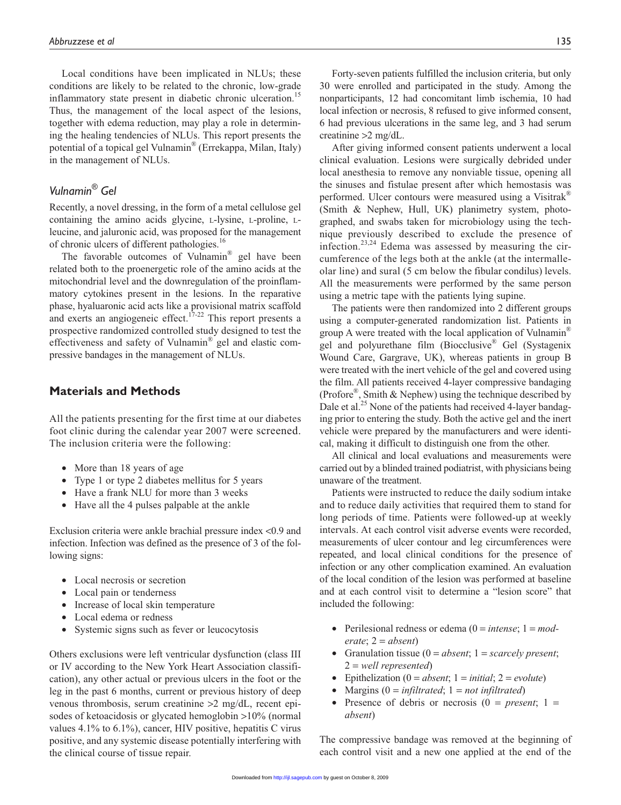Local conditions have been implicated in NLUs; these conditions are likely to be related to the chronic, low-grade inflammatory state present in diabetic chronic ulceration.<sup>15</sup> Thus, the management of the local aspect of the lesions, together with edema reduction, may play a role in determining the healing tendencies of NLUs. This report presents the potential of a topical gel Vulnamin® (Errekappa, Milan, Italy) in the management of NLUs.

# *Vulnamin® Gel*

Recently, a novel dressing, in the form of a metal cellulose gel containing the amino acids glycine, L-lysine, L-proline, Lleucine, and jaluronic acid, was proposed for the management of chronic ulcers of different pathologies.<sup>16</sup>

The favorable outcomes of Vulnamin<sup>®</sup> gel have been related both to the proenergetic role of the amino acids at the mitochondrial level and the downregulation of the proinflammatory cytokines present in the lesions. In the reparative phase, hyaluaronic acid acts like a provisional matrix scaffold and exerts an angiogeneic effect.<sup>17-22</sup> This report presents a prospective randomized controlled study designed to test the effectiveness and safety of Vulnamin® gel and elastic compressive bandages in the management of NLUs.

# **Materials and Methods**

All the patients presenting for the first time at our diabetes foot clinic during the calendar year 2007 were screened. The inclusion criteria were the following:

- More than 18 years of age
- Type 1 or type 2 diabetes mellitus for 5 years
- Have a frank NLU for more than 3 weeks
- Have all the 4 pulses palpable at the ankle

Exclusion criteria were ankle brachial pressure index <0.9 and infection. Infection was defined as the presence of 3 of the following signs:

- Local necrosis or secretion
- Local pain or tenderness
- Increase of local skin temperature
- Local edema or redness
- Systemic signs such as fever or leucocytosis

Others exclusions were left ventricular dysfunction (class III or IV according to the New York Heart Association classification), any other actual or previous ulcers in the foot or the leg in the past 6 months, current or previous history of deep venous thrombosis, serum creatinine >2 mg/dL, recent episodes of ketoacidosis or glycated hemoglobin >10% (normal values 4.1% to 6.1%), cancer, HIV positive, hepatitis C virus positive, and any systemic disease potentially interfering with the clinical course of tissue repair.

Forty-seven patients fulfilled the inclusion criteria, but only 30 were enrolled and participated in the study. Among the nonparticipants, 12 had concomitant limb ischemia, 10 had local infection or necrosis, 8 refused to give informed consent, 6 had previous ulcerations in the same leg, and 3 had serum creatinine >2 mg/dL.

After giving informed consent patients underwent a local clinical evaluation. Lesions were surgically debrided under local anesthesia to remove any nonviable tissue, opening all the sinuses and fistulae present after which hemostasis was performed. Ulcer contours were measured using a Visitrak® (Smith & Nephew, Hull, UK) planimetry system, photographed, and swabs taken for microbiology using the technique previously described to exclude the presence of infection.<sup>23,24</sup> Edema was assessed by measuring the circumference of the legs both at the ankle (at the intermalleolar line) and sural (5 cm below the fibular condilus) levels. All the measurements were performed by the same person using a metric tape with the patients lying supine.

The patients were then randomized into 2 different groups using a computer-generated randomization list. Patients in group A were treated with the local application of Vulnamin® gel and polyurethane film (Biocclusive® Gel (Systagenix Wound Care, Gargrave, UK), whereas patients in group B were treated with the inert vehicle of the gel and covered using the film. All patients received 4-layer compressive bandaging (Profore®, Smith & Nephew) using the technique described by Dale et al.<sup>25</sup> None of the patients had received 4-layer bandaging prior to entering the study. Both the active gel and the inert vehicle were prepared by the manufacturers and were identical, making it difficult to distinguish one from the other.

All clinical and local evaluations and measurements were carried out by a blinded trained podiatrist, with physicians being unaware of the treatment.

Patients were instructed to reduce the daily sodium intake and to reduce daily activities that required them to stand for long periods of time. Patients were followed-up at weekly intervals. At each control visit adverse events were recorded, measurements of ulcer contour and leg circumferences were repeated, and local clinical conditions for the presence of infection or any other complication examined. An evaluation of the local condition of the lesion was performed at baseline and at each control visit to determine a "lesion score" that included the following:

- Perilesional redness or edema  $(0 = \text{intense}; 1 = \text{mod-}$ *erate*; 2 = *absent*)
- Granulation tissue (0 = *absent*; 1 = *scarcely present*; 2 = *well represented*)
- Epithelization  $(0 = absent; 1 = initial; 2 = evolute)$
- Margins (0 = *infiltrated*; 1 = *not infiltrated*)
- Presence of debris or necrosis  $(0 = present; 1 =$ *absent*)

The compressive bandage was removed at the beginning of each control visit and a new one applied at the end of the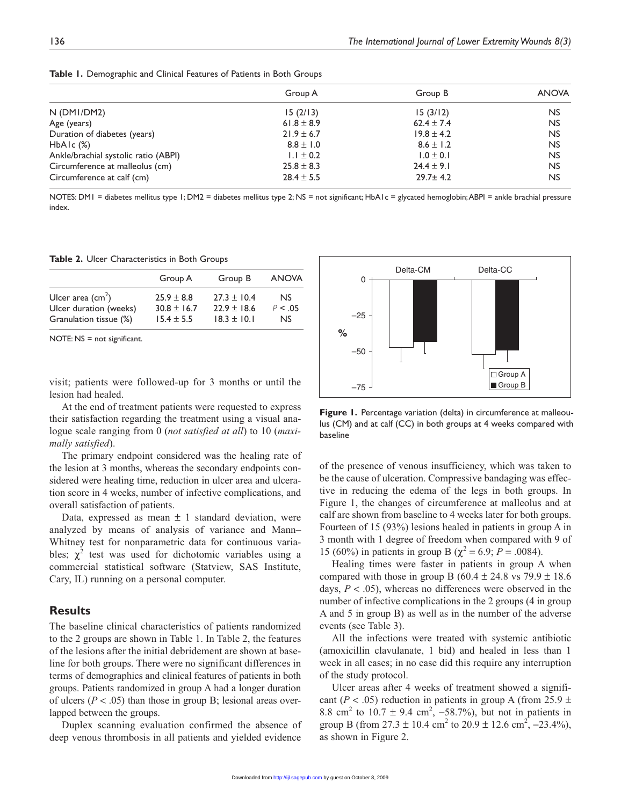|                                      | Group A        | Group B        | <b>ANOVA</b> |
|--------------------------------------|----------------|----------------|--------------|
| $N$ (DMI/DM2)                        | 15(2/13)       | 15(3/12)       | <b>NS</b>    |
| Age (years)                          | 61.8 $\pm$ 8.9 | $62.4 \pm 7.4$ | <b>NS</b>    |
| Duration of diabetes (years)         | $21.9 \pm 6.7$ | $19.8 \pm 4.2$ | <b>NS</b>    |
| $HbA1c$ $(\%)$                       | $8.8 \pm 1.0$  | $8.6 \pm 1.2$  | <b>NS</b>    |
| Ankle/brachial systolic ratio (ABPI) | $1.1 \pm 0.2$  | $1.0 \pm 0.1$  | <b>NS</b>    |
| Circumference at malleolus (cm)      | $25.8 \pm 8.3$ | $24.4 \pm 9.1$ | <b>NS</b>    |
| Circumference at calf (cm)           | $28.4 \pm 5.5$ | $29.7 \pm 4.2$ | <b>NS</b>    |

**Table 1.** Demographic and Clinical Features of Patients in Both Groups

NOTES: DMI = diabetes mellitus type 1; DM2 = diabetes mellitus type 2; NS = not significant; HbA1c = glycated hemoglobin; ABPI = ankle brachial pressure index.

**Table 2.** Ulcer Characteristics in Both Groups

|                            | Group A         | Group B         | <b>ANOVA</b> |
|----------------------------|-----------------|-----------------|--------------|
| Ulcer area $\text{(cm}^2)$ | $25.9 \pm 8.8$  | $27.3 \pm 10.4$ | <b>NS</b>    |
| Ulcer duration (weeks)     | $30.8 \pm 16.7$ | $22.9 \pm 18.6$ | P < 0.05     |
| Granulation tissue (%)     | $15.4 \pm 5.5$  | $18.3 \pm 10.1$ | <b>NS</b>    |

NOTE: NS = not significant.

visit; patients were followed-up for 3 months or until the lesion had healed.

At the end of treatment patients were requested to express their satisfaction regarding the treatment using a visual analogue scale ranging from 0 (*not satisfied at all*) to 10 (*maximally satisfied*).

The primary endpoint considered was the healing rate of the lesion at 3 months, whereas the secondary endpoints considered were healing time, reduction in ulcer area and ulceration score in 4 weeks, number of infective complications, and overall satisfaction of patients.

Data, expressed as mean  $\pm$  1 standard deviation, were analyzed by means of analysis of variance and Mann– Whitney test for nonparametric data for continuous variables;  $\chi^2$  test was used for dichotomic variables using a commercial statistical software (Statview, SAS Institute, Cary, IL) running on a personal computer.

# **Results**

The baseline clinical characteristics of patients randomized to the 2 groups are shown in Table 1. In Table 2, the features of the lesions after the initial debridement are shown at baseline for both groups. There were no significant differences in terms of demographics and clinical features of patients in both groups. Patients randomized in group A had a longer duration of ulcers ( $P < .05$ ) than those in group B; lesional areas overlapped between the groups.

Duplex scanning evaluation confirmed the absence of deep venous thrombosis in all patients and yielded evidence



**Figure 1.** Percentage variation (delta) in circumference at malleoulus (CM) and at calf (CC) in both groups at 4 weeks compared with baseline

of the presence of venous insufficiency, which was taken to be the cause of ulceration. Compressive bandaging was effective in reducing the edema of the legs in both groups. In Figure 1, the changes of circumference at malleolus and at calf are shown from baseline to 4 weeks later for both groups. Fourteen of 15 (93%) lesions healed in patients in group A in 3 month with 1 degree of freedom when compared with 9 of 15 (60%) in patients in group B ( $\chi^2$  = 6.9; *P* = .0084).

Healing times were faster in patients in group A when compared with those in group B (60.4  $\pm$  24.8 vs 79.9  $\pm$  18.6 days, *P* < .05), whereas no differences were observed in the number of infective complications in the 2 groups (4 in group A and 5 in group B) as well as in the number of the adverse events (see Table 3).

All the infections were treated with systemic antibiotic (amoxicillin clavulanate, 1 bid) and healed in less than 1 week in all cases; in no case did this require any interruption of the study protocol.

Ulcer areas after 4 weeks of treatment showed a significant ( $P < .05$ ) reduction in patients in group A (from 25.9  $\pm$ 8.8 cm<sup>2</sup> to 10.7  $\pm$  9.4 cm<sup>2</sup>, -58.7%), but not in patients in group B (from  $27.3 \pm 10.4$  cm<sup>2</sup> to  $20.9 \pm 12.6$  cm<sup>2</sup>,  $-23.4\%$ ), as shown in Figure 2.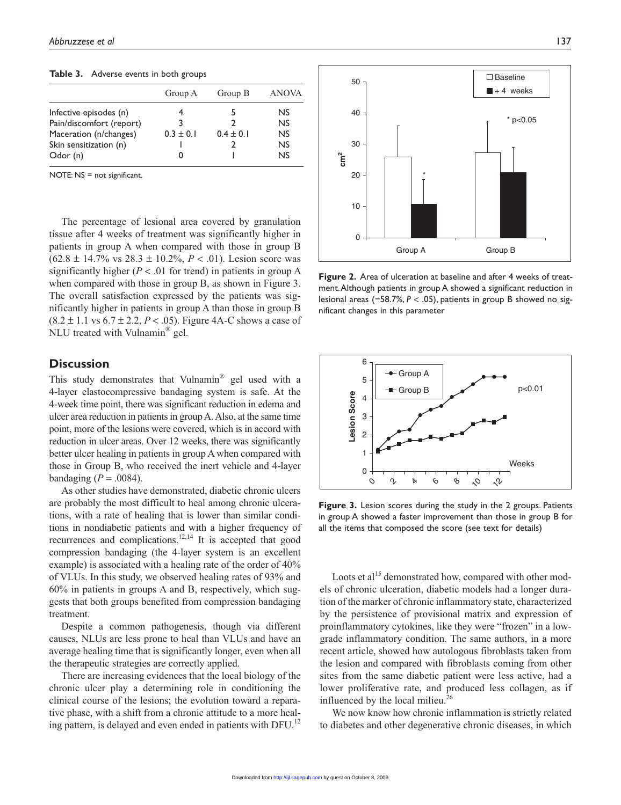**Table 3.** Adverse events in both groups

|                          | Group A     | Group B       | <b>ANOVA</b> |
|--------------------------|-------------|---------------|--------------|
| Infective episodes (n)   |             | 5             | NS.          |
| Pain/discomfort (report) | 3           | າ             | NS           |
| Maceration (n/changes)   | $0.3 + 0.1$ | $0.4 \pm 0.1$ | NS           |
| Skin sensitization (n)   |             |               | NS           |
| Odor (n)                 | O           |               | NS           |

NOTE: NS = not significant.

The percentage of lesional area covered by granulation tissue after 4 weeks of treatment was significantly higher in patients in group A when compared with those in group B  $(62.8 \pm 14.7\% \text{ vs } 28.3 \pm 10.2\%, P < .01)$ . Lesion score was significantly higher  $(P < .01$  for trend) in patients in group A when compared with those in group B, as shown in Figure 3. The overall satisfaction expressed by the patients was significantly higher in patients in group A than those in group B  $(8.2 \pm 1.1 \text{ vs } 6.7 \pm 2.2, P < .05)$ . Figure 4A-C shows a case of NLU treated with Vulnamin® gel.

# **Discussion**

This study demonstrates that Vulnamin® gel used with a 4-layer elastocompressive bandaging system is safe. At the 4-week time point, there was significant reduction in edema and ulcer area reduction in patients in group A. Also, at the same time point, more of the lesions were covered, which is in accord with reduction in ulcer areas. Over 12 weeks, there was significantly better ulcer healing in patients in group A when compared with those in Group B, who received the inert vehicle and 4-layer bandaging  $(P = .0084)$ .

As other studies have demonstrated, diabetic chronic ulcers are probably the most difficult to heal among chronic ulcerations, with a rate of healing that is lower than similar conditions in nondiabetic patients and with a higher frequency of recurrences and complications.12,14 It is accepted that good compression bandaging (the 4-layer system is an excellent example) is associated with a healing rate of the order of 40% of VLUs. In this study, we observed healing rates of 93% and 60% in patients in groups A and B, respectively, which suggests that both groups benefited from compression bandaging treatment.

Despite a common pathogenesis, though via different causes, NLUs are less prone to heal than VLUs and have an average healing time that is significantly longer, even when all the therapeutic strategies are correctly applied.

There are increasing evidences that the local biology of the chronic ulcer play a determining role in conditioning the clinical course of the lesions; the evolution toward a reparative phase, with a shift from a chronic attitude to a more healing pattern, is delayed and even ended in patients with DFU.<sup>12</sup>



**Figure 2.** Area of ulceration at baseline and after 4 weeks of treatment. Although patients in group A showed a significant reduction in lesional areas (−58.7%, *P* < .05), patients in group B showed no significant changes in this parameter



**Figure 3.** Lesion scores during the study in the 2 groups. Patients in group A showed a faster improvement than those in group B for all the items that composed the score (see text for details)

Loots et al<sup>15</sup> demonstrated how, compared with other models of chronic ulceration, diabetic models had a longer duration of the marker of chronic inflammatory state, characterized by the persistence of provisional matrix and expression of proinflammatory cytokines, like they were "frozen" in a lowgrade inflammatory condition. The same authors, in a more recent article, showed how autologous fibroblasts taken from the lesion and compared with fibroblasts coming from other sites from the same diabetic patient were less active, had a lower proliferative rate, and produced less collagen, as if influenced by the local milieu.<sup>26</sup>

We now know how chronic inflammation is strictly related to diabetes and other degenerative chronic diseases, in which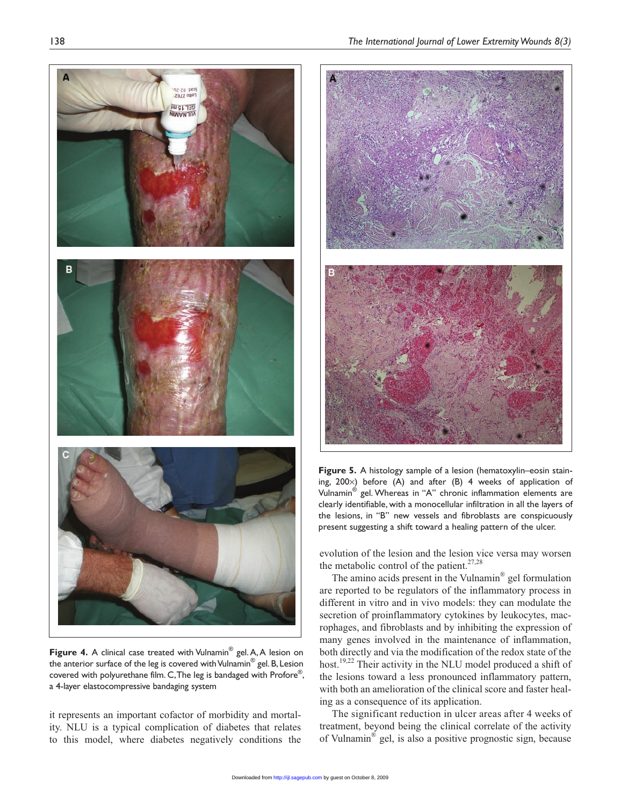

**Figure 4.** A clinical case treated with Vulnamin<sup>®</sup> gel. A, A lesion on the anterior surface of the leg is covered with Vulnamin<sup>®</sup> gel. B, Lesion covered with polyurethane film. C, The leg is bandaged with Profore®, a 4-layer elastocompressive bandaging system

it represents an important cofactor of morbidity and mortality. NLU is a typical complication of diabetes that relates to this model, where diabetes negatively conditions the



**Figure 5.** A histology sample of a lesion (hematoxylin–eosin staining, 200×) before (A) and after (B) 4 weeks of application of Vulnamin® gel. Whereas in "A" chronic inflammation elements are clearly identifiable, with a monocellular infiltration in all the layers of the lesions, in "B" new vessels and fibroblasts are conspicuously present suggesting a shift toward a healing pattern of the ulcer.

evolution of the lesion and the lesion vice versa may worsen the metabolic control of the patient. $27,28$ 

The amino acids present in the Vulnamin® gel formulation are reported to be regulators of the inflammatory process in different in vitro and in vivo models: they can modulate the secretion of proinflammatory cytokines by leukocytes, macrophages, and fibroblasts and by inhibiting the expression of many genes involved in the maintenance of inflammation, both directly and via the modification of the redox state of the host.<sup>19,22</sup> Their activity in the NLU model produced a shift of the lesions toward a less pronounced inflammatory pattern, with both an amelioration of the clinical score and faster healing as a consequence of its application.

The significant reduction in ulcer areas after 4 weeks of treatment, beyond being the clinical correlate of the activity of Vulnamin® gel, is also a positive prognostic sign, because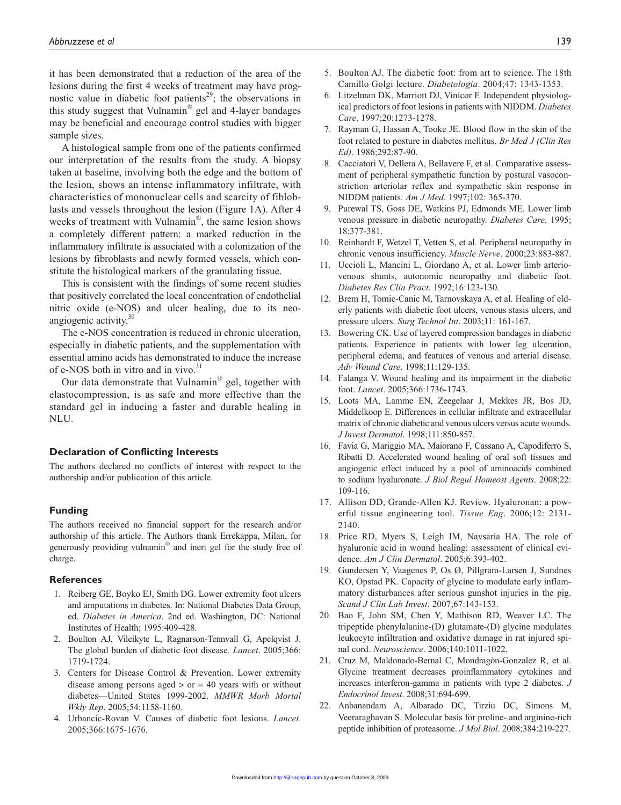it has been demonstrated that a reduction of the area of the lesions during the first 4 weeks of treatment may have prognostic value in diabetic foot patients<sup>29</sup>; the observations in this study suggest that Vulnamin® gel and 4-layer bandages may be beneficial and encourage control studies with bigger sample sizes.

A histological sample from one of the patients confirmed our interpretation of the results from the study. A biopsy taken at baseline, involving both the edge and the bottom of the lesion, shows an intense inflammatory infiltrate, with characteristics of mononuclear cells and scarcity of fibloblasts and vessels throughout the lesion (Figure 1A). After 4 weeks of treatment with Vulnamin<sup>®</sup>, the same lesion shows a completely different pattern: a marked reduction in the inflammatory infiltrate is associated with a colonization of the lesions by fibroblasts and newly formed vessels, which constitute the histological markers of the granulating tissue.

This is consistent with the findings of some recent studies that positively correlated the local concentration of endothelial nitric oxide (e-NOS) and ulcer healing, due to its neoangiogenic activity.<sup>30</sup>

The e-NOS concentration is reduced in chronic ulceration, especially in diabetic patients, and the supplementation with essential amino acids has demonstrated to induce the increase of e-NOS both in vitro and in vivo.<sup>31</sup>

Our data demonstrate that Vulnamin® gel, together with elastocompression, is as safe and more effective than the standard gel in inducing a faster and durable healing in NLU.

#### **Declaration of Conflicting Interests**

The authors declared no conflicts of interest with respect to the authorship and/or publication of this article.

#### **Funding**

The authors received no financial support for the research and/or authorship of this article. The Authors thank Errekappa, Milan, for generously providing vulnamin® and inert gel for the study free of charge.

#### **References**

- 1. Reiberg GE, Boyko EJ, Smith DG. Lower extremity foot ulcers and amputations in diabetes. In: National Diabetes Data Group, ed. *Diabetes in America*. 2nd ed. Washington, DC: National Institutes of Health; 1995:409-428.
- 2. Boulton AJ, Vileikyte L, Ragnarson-Tennvall G, Apelqvist J. The global burden of diabetic foot disease. *Lancet*. 2005;366: 1719-1724.
- 3. Centers for Disease Control & Prevention. Lower extremity disease among persons aged  $>$  or  $=$  40 years with or without diabetes—United States 1999-2002. *MMWR Morb Mortal Wkly Rep*. 2005;54:1158-1160.
- 4. Urbancic-Rovan V. Causes of diabetic foot lesions. *Lancet*. 2005;366:1675-1676.
- 5. Boulton AJ. The diabetic foot: from art to science. The 18th Camillo Golgi lecture. *Diabetologia*. 2004;47: 1343-1353.
- 6. Litzelman DK, Marriott DJ, Vinicor F. Independent physiological predictors of foot lesions in patients with NIDDM. *Diabetes Care*. 1997;20:1273-1278.
- 7. Rayman G, Hassan A, Tooke JE. Blood flow in the skin of the foot related to posture in diabetes mellitus. *Br Med J (Clin Res Ed)*. 1986;292:87-90.
- 8. Cacciatori V, Dellera A, Bellavere F, et al. Comparative assessment of peripheral sympathetic function by postural vasoconstriction arteriolar reflex and sympathetic skin response in NIDDM patients. *Am J Med*. 1997;102: 365-370.
- 9. Purewal TS, Goss DE, Watkins PJ, Edmonds ME. Lower limb venous pressure in diabetic neuropathy. *Diabetes Care*. 1995; 18:377-381.
- 10. Reinhardt F, Wetzel T, Vetten S, et al. Peripheral neuropathy in chronic venous insufficiency. *Muscle Nerve*. 2000;23:883-887.
- 11. Uccioli L, Mancini L, Giordano A, et al. Lower limb arteriovenous shunts, autonomic neuropathy and diabetic foot. *Diabetes Res Clin Pract*. 1992;16:123-130.
- 12. Brem H, Tomic-Canic M, Tarnovskaya A, et al. Healing of elderly patients with diabetic foot ulcers, venous stasis ulcers, and pressure ulcers. *Surg Technol Int*. 2003;11: 161-167.
- 13. Bowering CK. Use of layered compression bandages in diabetic patients. Experience in patients with lower leg ulceration, peripheral edema, and features of venous and arterial disease. *Adv Wound Care*. 1998;11:129-135.
- 14. Falanga V. Wound healing and its impairment in the diabetic foot. *Lancet*. 2005;366:1736-1743.
- 15. Loots MA, Lamme EN, Zeegelaar J, Mekkes JR, Bos JD, Middelkoop E. Differences in cellular infiltrate and extracellular matrix of chronic diabetic and venous ulcers versus acute wounds. *J Invest Dermatol*. 1998;111:850-857.
- 16. Favia G, Mariggio MA, Maiorano F, Cassano A, Capodiferro S, Ribatti D. Accelerated wound healing of oral soft tissues and angiogenic effect induced by a pool of aminoacids combined to sodium hyaluronate. *J Biol Regul Homeost Agents*. 2008;22: 109-116.
- 17. Allison DD, Grande-Allen KJ. Review. Hyaluronan: a powerful tissue engineering tool. *Tissue Eng*. 2006;12: 2131- 2140.
- 18. Price RD, Myers S, Leigh IM, Navsaria HA. The role of hyaluronic acid in wound healing: assessment of clinical evidence. *Am J Clin Dermatol*. 2005;6:393-402.
- 19. Gundersen Y, Vaagenes P, Os Ø, Pillgram-Larsen J, Sundnes KO, Opstad PK. Capacity of glycine to modulate early inflammatory disturbances after serious gunshot injuries in the pig. *Scand J Clin Lab Invest*. 2007;67:143-153.
- 20. Bao F, John SM, Chen Y, Mathison RD, Weaver LC. The tripeptide phenylalanine-(D) glutamate-(D) glycine modulates leukocyte infiltration and oxidative damage in rat injured spinal cord. *Neuroscience*. 2006;140:1011-1022.
- 21. Cruz M, Maldonado-Bernal C, Mondragón-Gonzalez R, et al. Glycine treatment decreases proinflammatory cytokines and increases interferon-gamma in patients with type 2 diabetes. *J Endocrinol Invest*. 2008;31:694-699.
- 22. Anbanandam A, Albarado DC, Tirziu DC, Simons M, Veeraraghavan S. Molecular basis for proline- and arginine-rich peptide inhibition of proteasome. *J Mol Biol*. 2008;384:219-227.